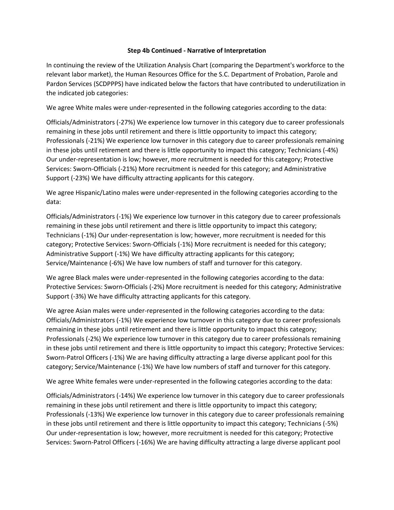## **Step 4b Continued - Narrative of Interpretation**

In continuing the review of the Utilization Analysis Chart (comparing the Department's workforce to the relevant labor market), the Human Resources Office for the S.C. Department of Probation, Parole and Pardon Services (SCDPPPS) have indicated below the factors that have contributed to underutilization in the indicated job categories:

We agree White males were under-represented in the following categories according to the data:

Officials/Administrators (-27%) We experience low turnover in this category due to career professionals remaining in these jobs until retirement and there is little opportunity to impact this category; Professionals (-21%) We experience low turnover in this category due to career professionals remaining in these jobs until retirement and there is little opportunity to impact this category; Technicians (-4%) Our under-representation is low; however, more recruitment is needed for this category; Protective Services: Sworn-Officials (-21%) More recruitment is needed for this category; and Administrative Support (-23%) We have difficulty attracting applicants for this category.

We agree Hispanic/Latino males were under-represented in the following categories according to the data:

Officials/Administrators (-1%) We experience low turnover in this category due to career professionals remaining in these jobs until retirement and there is little opportunity to impact this category; Technicians (-1%) Our under-representation is low; however, more recruitment is needed for this category; Protective Services: Sworn-Officials (-1%) More recruitment is needed for this category; Administrative Support (-1%) We have difficulty attracting applicants for this category; Service/Maintenance (-6%) We have low numbers of staff and turnover for this category.

We agree Black males were under-represented in the following categories according to the data: Protective Services: Sworn-Officials (-2%) More recruitment is needed for this category; Administrative Support (-3%) We have difficulty attracting applicants for this category.

We agree Asian males were under-represented in the following categories according to the data: Officials/Administrators (-1%) We experience low turnover in this category due to career professionals remaining in these jobs until retirement and there is little opportunity to impact this category; Professionals (-2%) We experience low turnover in this category due to career professionals remaining in these jobs until retirement and there is little opportunity to impact this category; Protective Services: Sworn-Patrol Officers (-1%) We are having difficulty attracting a large diverse applicant pool for this category; Service/Maintenance (-1%) We have low numbers of staff and turnover for this category.

We agree White females were under-represented in the following categories according to the data:

Officials/Administrators (-14%) We experience low turnover in this category due to career professionals remaining in these jobs until retirement and there is little opportunity to impact this category; Professionals (-13%) We experience low turnover in this category due to career professionals remaining in these jobs until retirement and there is little opportunity to impact this category; Technicians (-5%) Our under-representation is low; however, more recruitment is needed for this category; Protective Services: Sworn-Patrol Officers (-16%) We are having difficulty attracting a large diverse applicant pool